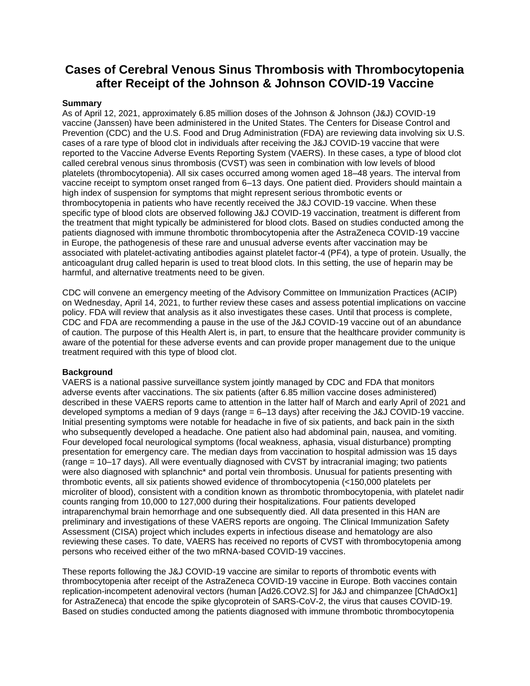# **Cases of Cerebral Venous Sinus Thrombosis with Thrombocytopenia after Receipt of the Johnson & Johnson COVID-19 Vaccine**

#### **Summary**

As of April 12, 2021, approximately 6.85 million doses of the Johnson & Johnson (J&J) COVID-19 vaccine (Janssen) have been administered in the United States. The Centers for Disease Control and Prevention (CDC) and the U.S. Food and Drug Administration (FDA) are reviewing data involving six U.S. cases of a rare type of blood clot in individuals after receiving the J&J COVID-19 vaccine that were reported to the Vaccine Adverse Events Reporting System (VAERS). In these cases, a type of blood clot called cerebral venous sinus thrombosis (CVST) was seen in combination with low levels of blood platelets (thrombocytopenia). All six cases occurred among women aged 18–48 years. The interval from vaccine receipt to symptom onset ranged from 6–13 days. One patient died. Providers should maintain a high index of suspension for symptoms that might represent serious thrombotic events or thrombocytopenia in patients who have recently received the J&J COVID-19 vaccine. When these specific type of blood clots are observed following J&J COVID-19 vaccination, treatment is different from the treatment that might typically be administered for blood clots. Based on studies conducted among the patients diagnosed with immune thrombotic thrombocytopenia after the AstraZeneca COVID-19 vaccine in Europe, the pathogenesis of these rare and unusual adverse events after vaccination may be associated with platelet-activating antibodies against platelet factor-4 (PF4), a type of protein. Usually, the anticoagulant drug called heparin is used to treat blood clots. In this setting, the use of heparin may be harmful, and alternative treatments need to be given.

CDC will convene an emergency meeting of the Advisory Committee on Immunization Practices (ACIP) on Wednesday, April 14, 2021, to further review these cases and assess potential implications on vaccine policy. FDA will review that analysis as it also investigates these cases. Until that process is complete, CDC and FDA are recommending a pause in the use of the J&J COVID-19 vaccine out of an abundance of caution. The purpose of this Health Alert is, in part, to ensure that the healthcare provider community is aware of the potential for these adverse events and can provide proper management due to the unique treatment required with this type of blood clot.

### **Background**

VAERS is a national passive surveillance system jointly managed by CDC and FDA that monitors adverse events after vaccinations. The six patients (after 6.85 million vaccine doses administered) described in these VAERS reports came to attention in the latter half of March and early April of 2021 and developed symptoms a median of 9 days (range = 6–13 days) after receiving the J&J COVID-19 vaccine. Initial presenting symptoms were notable for headache in five of six patients, and back pain in the sixth who subsequently developed a headache. One patient also had abdominal pain, nausea, and vomiting. Four developed focal neurological symptoms (focal weakness, aphasia, visual disturbance) prompting presentation for emergency care. The median days from vaccination to hospital admission was 15 days (range = 10–17 days). All were eventually diagnosed with CVST by intracranial imaging; two patients were also diagnosed with splanchnic\* and portal vein thrombosis. Unusual for patients presenting with thrombotic events, all six patients showed evidence of thrombocytopenia (<150,000 platelets per microliter of blood), consistent with a condition known as thrombotic thrombocytopenia, with platelet nadir counts ranging from 10,000 to 127,000 during their hospitalizations. Four patients developed intraparenchymal brain hemorrhage and one subsequently died. All data presented in this HAN are preliminary and investigations of these VAERS reports are ongoing. The Clinical Immunization Safety Assessment (CISA) project which includes experts in infectious disease and hematology are also reviewing these cases. To date, VAERS has received no reports of CVST with thrombocytopenia among persons who received either of the two mRNA-based COVID-19 vaccines.

These reports following the J&J COVID-19 vaccine are similar to reports of thrombotic events with thrombocytopenia after receipt of the AstraZeneca COVID-19 vaccine in Europe. Both vaccines contain replication-incompetent adenoviral vectors (human [Ad26.COV2.S] for J&J and chimpanzee [ChAdOx1] for AstraZeneca) that encode the spike glycoprotein of SARS-CoV-2, the virus that causes COVID-19. Based on studies conducted among the patients diagnosed with immune thrombotic thrombocytopenia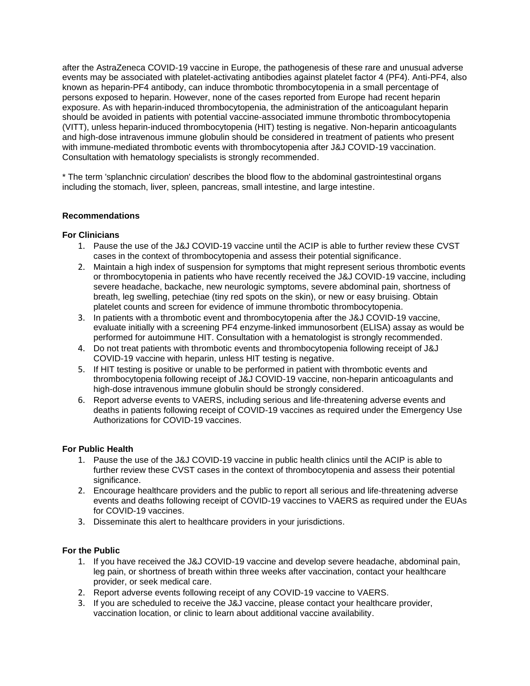after the AstraZeneca COVID-19 vaccine in Europe, the pathogenesis of these rare and unusual adverse events may be associated with platelet-activating antibodies against platelet factor 4 (PF4). Anti-PF4, also known as heparin-PF4 antibody, can induce thrombotic thrombocytopenia in a small percentage of persons exposed to heparin. However, none of the cases reported from Europe had recent heparin exposure. As with heparin-induced thrombocytopenia, the administration of the anticoagulant heparin should be avoided in patients with potential vaccine-associated immune thrombotic thrombocytopenia (VITT), unless heparin-induced thrombocytopenia (HIT) testing is negative. Non-heparin anticoagulants and high-dose intravenous immune globulin should be considered in treatment of patients who present with immune-mediated thrombotic events with thrombocytopenia after J&J COVID-19 vaccination. Consultation with hematology specialists is strongly recommended.

\* The term 'splanchnic circulation' describes the blood flow to the abdominal gastrointestinal organs including the stomach, liver, spleen, pancreas, small intestine, and large intestine.

## **Recommendations**

## **For Clinicians**

- 1. Pause the use of the J&J COVID-19 vaccine until the ACIP is able to further review these CVST cases in the context of thrombocytopenia and assess their potential significance.
- 2. Maintain a high index of suspension for symptoms that might represent serious thrombotic events or thrombocytopenia in patients who have recently received the J&J COVID-19 vaccine, including severe headache, backache, new neurologic symptoms, severe abdominal pain, shortness of breath, leg swelling, petechiae (tiny red spots on the skin), or new or easy bruising. Obtain platelet counts and screen for evidence of immune thrombotic thrombocytopenia.
- 3. In patients with a thrombotic event and thrombocytopenia after the J&J COVID-19 vaccine, evaluate initially with a screening PF4 enzyme-linked immunosorbent (ELISA) assay as would be performed for autoimmune HIT. Consultation with a hematologist is strongly recommended.
- 4. Do not treat patients with thrombotic events and thrombocytopenia following receipt of J&J COVID-19 vaccine with heparin, unless HIT testing is negative.
- 5. If HIT testing is positive or unable to be performed in patient with thrombotic events and thrombocytopenia following receipt of J&J COVID-19 vaccine, non-heparin anticoagulants and high-dose intravenous immune globulin should be strongly considered.
- 6. Report adverse events to VAERS, including serious and life-threatening adverse events and deaths in patients following receipt of COVID-19 vaccines as required under the Emergency Use Authorizations for COVID-19 vaccines.

### **For Public Health**

- 1. Pause the use of the J&J COVID-19 vaccine in public health clinics until the ACIP is able to further review these CVST cases in the context of thrombocytopenia and assess their potential significance.
- 2. Encourage healthcare providers and the public to report all serious and life-threatening adverse events and deaths following receipt of COVID-19 vaccines to VAERS as required under the EUAs for COVID-19 vaccines.
- 3. Disseminate this alert to healthcare providers in your jurisdictions.

### **For the Public**

- 1. If you have received the J&J COVID-19 vaccine and develop severe headache, abdominal pain, leg pain, or shortness of breath within three weeks after vaccination, contact your healthcare provider, or seek medical care.
- 2. Report adverse events following receipt of any COVID-19 vaccine to VAERS.
- 3. If you are scheduled to receive the J&J vaccine, please contact your healthcare provider, vaccination location, or clinic to learn about additional vaccine availability.